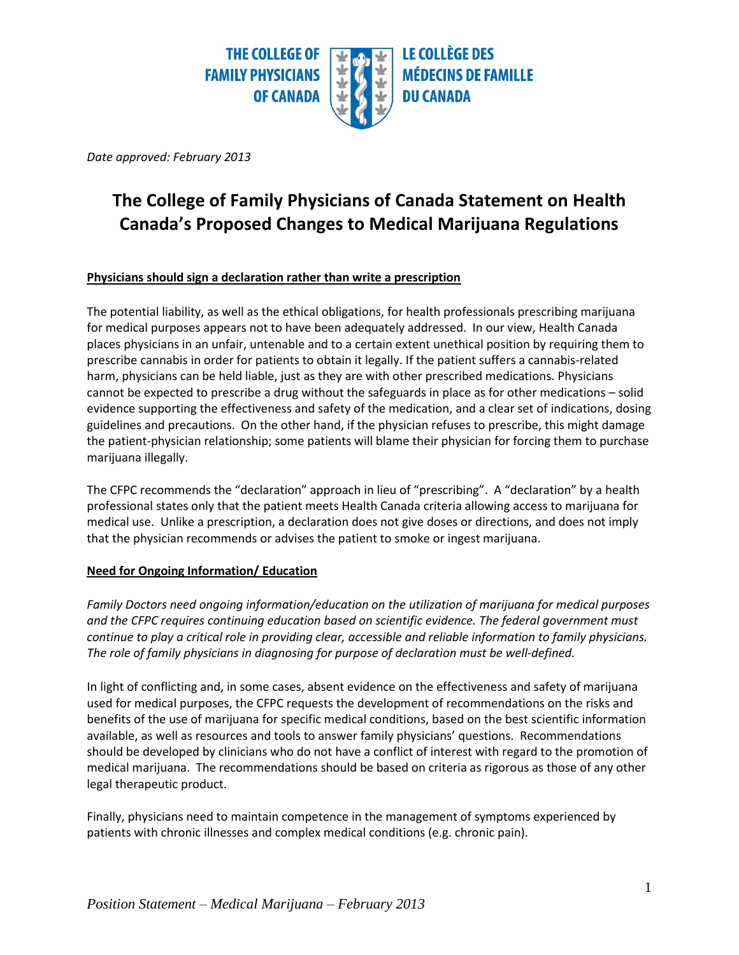

*Date approved: February 2013*

## **The College of Family Physicians of Canada Statement on Health Canada's Proposed Changes to Medical Marijuana Regulations**

## **Physicians should sign a declaration rather than write a prescription**

The potential liability, as well as the ethical obligations, for health professionals prescribing marijuana for medical purposes appears not to have been adequately addressed. In our view, Health Canada places physicians in an unfair, untenable and to a certain extent unethical position by requiring them to prescribe cannabis in order for patients to obtain it legally. If the patient suffers a cannabis-related harm, physicians can be held liable, just as they are with other prescribed medications. Physicians cannot be expected to prescribe a drug without the safeguards in place as for other medications – solid evidence supporting the effectiveness and safety of the medication, and a clear set of indications, dosing guidelines and precautions. On the other hand, if the physician refuses to prescribe, this might damage the patient-physician relationship; some patients will blame their physician for forcing them to purchase marijuana illegally.

The CFPC recommends the "declaration" approach in lieu of "prescribing". A "declaration" by a health professional states only that the patient meets Health Canada criteria allowing access to marijuana for medical use. Unlike a prescription, a declaration does not give doses or directions, and does not imply that the physician recommends or advises the patient to smoke or ingest marijuana.

## **Need for Ongoing Information/ Education**

*Family Doctors need ongoing information/education on the utilization of marijuana for medical purposes and the CFPC requires continuing education based on scientific evidence. The federal government must continue to play a critical role in providing clear, accessible and reliable information to family physicians. The role of family physicians in diagnosing for purpose of declaration must be well-defined.*

In light of conflicting and, in some cases, absent evidence on the effectiveness and safety of marijuana used for medical purposes, the CFPC requests the development of recommendations on the risks and benefits of the use of marijuana for specific medical conditions, based on the best scientific information available, as well as resources and tools to answer family physicians' questions. Recommendations should be developed by clinicians who do not have a conflict of interest with regard to the promotion of medical marijuana. The recommendations should be based on criteria as rigorous as those of any other legal therapeutic product.

Finally, physicians need to maintain competence in the management of symptoms experienced by patients with chronic illnesses and complex medical conditions (e.g. chronic pain).